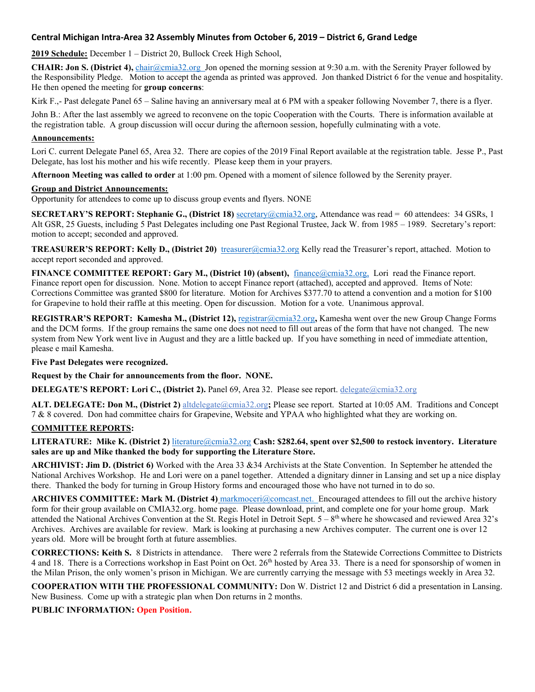## **Central Michigan Intra-Area 32 Assembly Minutes from October 6, 2019 – District 6, Grand Ledge**

**2019 Schedule:** December 1 – District 20, Bullock Creek High School,

**CHAIR: Jon S. (District 4),** [chair@cmia32.org](mailto:chair@cmia32.org) Jon opened the morning session at 9:30 a.m. with the Serenity Prayer followed by the Responsibility Pledge. Motion to accept the agenda as printed was approved. Jon thanked District 6 for the venue and hospitality. He then opened the meeting for **group concerns**:

Kirk F<sub>.,</sub>- Past delegate Panel 65 – Saline having an anniversary meal at 6 PM with a speaker following November 7, there is a flyer.

John B.: After the last assembly we agreed to reconvene on the topic Cooperation with the Courts. There is information available at the registration table. A group discussion will occur during the afternoon session, hopefully culminating with a vote.

#### **Announcements:**

Lori C. current Delegate Panel 65, Area 32. There are copies of the 2019 Final Report available at the registration table. Jesse P., Past Delegate, has lost his mother and his wife recently. Please keep them in your prayers.

**Afternoon Meeting was called to order** at 1:00 pm. Opened with a moment of silence followed by the Serenity prayer.

#### **Group and District Announcements:**

Opportunity for attendees to come up to discuss group events and flyers. NONE

**SECRETARY'S REPORT: Stephanie G., (District 18)** [secretary@cmia32.org,](mailto:secretary@cmia32.org) Attendance was read = 60 attendees: 34 GSRs, 1 Alt GSR, 25 Guests, including 5 Past Delegates including one Past Regional Trustee, Jack W. from 1985 – 1989. Secretary's report: motion to accept; seconded and approved.

**TREASURER'S REPORT: Kelly D., (District 20)** [treasurer@cmia32.org](mailto:treasurer@cmia32.org) Kelly read the Treasurer's report, attached. Motion to accept report seconded and approved.

**FINANCE COMMITTEE REPORT: Gary M., (District 10) (absent),** [finance@cmia32.org,](mailto:finance@cmia32.org)Lori read the Finance report. Finance report open for discussion. None. Motion to accept Finance report (attached), accepted and approved. Items of Note: Corrections Committee was granted \$800 for literature. Motion for Archives \$377.70 to attend a convention and a motion for \$100 for Grapevine to hold their raffle at this meeting. Open for discussion. Motion for a vote. Unanimous approval.

**REGISTRAR'S REPORT: Kamesha M., (District 12),** [registrar@cmia32.org](mailto:registrar@cmia32.org)**,** Kamesha went over the new Group Change Forms and the DCM forms. If the group remains the same one does not need to fill out areas of the form that have not changed. The new system from New York went live in August and they are a little backed up. If you have something in need of immediate attention, please e mail Kamesha.

#### **Five Past Delegates were recognized.**

#### **Request by the Chair for announcements from the floor. NONE.**

**DELEGATE'S REPORT: Lori C., (District 2).** Panel 69, Area 32. Please see report. delegate@cmia32.org

**ALT. DELEGATE: Don M., (District 2)** altdelegate@cmia32.org**;** Please see report. Started at 10:05 AM. Traditions and Concept 7 & 8 covered. Don had committee chairs for Grapevine, Website and YPAA who highlighted what they are working on.

#### **COMMITTEE REPORTS:**

**LITERATURE: Mike K. (District 2)** [literature@cmia32.org](mailto:literature@cmia32.org) **Cash: \$282.64, spent over \$2,500 to restock inventory. Literature sales are up and Mike thanked the body for supporting the Literature Store.**

**ARCHIVIST: Jim D. (District 6)** Worked with the Area 33 &34 Archivists at the State Convention. In September he attended the National Archives Workshop. He and Lori were on a panel together. Attended a dignitary dinner in Lansing and set up a nice display there. Thanked the body for turning in Group History forms and encouraged those who have not turned in to do so.

**ARCHIVES COMMITTEE: Mark M. (District 4)** [markmoceri@comcast.net.](mailto:markmoceri@comcast.net) Encouraged attendees to fill out the archive history form for their group available on CMIA32.org. home page. Please download, print, and complete one for your home group. Mark attended the National Archives Convention at the St. Regis Hotel in Detroit Sept.  $5 - 8$ <sup>th</sup> where he showcased and reviewed Area 32's Archives. Archives are available for review. Mark is looking at purchasing a new Archives computer. The current one is over 12 years old. More will be brought forth at future assemblies.

**CORRECTIONS: Keith S.** 8 Districts in attendance. There were 2 referrals from the Statewide Corrections Committee to Districts 4 and 18. There is a Corrections workshop in East Point on Oct. 26<sup>th</sup> hosted by Area 33. There is a need for sponsorship of women in the Milan Prison, the only women's prison in Michigan. We are currently carrying the message with 53 meetings weekly in Area 32.

**COOPERATION WITH THE PROFESSIONAL COMMUNITY:** Don W. District 12 and District 6 did a presentation in Lansing. New Business. Come up with a strategic plan when Don returns in 2 months.

#### **PUBLIC INFORMATION: Open Position.**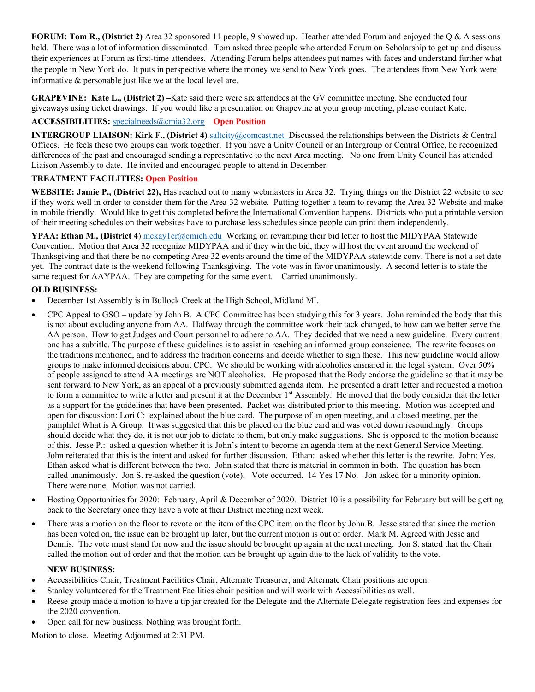**FORUM: Tom R., (District 2)** Area 32 sponsored 11 people, 9 showed up. Heather attended Forum and enjoyed the Q & A sessions held. There was a lot of information disseminated. Tom asked three people who attended Forum on Scholarship to get up and discuss their experiences at Forum as first-time attendees. Attending Forum helps attendees put names with faces and understand further what the people in New York do. It puts in perspective where the money we send to New York goes. The attendees from New York were informative & personable just like we at the local level are.

**GRAPEVINE:** Kate L., (District 2) –Kate said there were six attendees at the GV committee meeting. She conducted four giveaways using ticket drawings. If you would like a presentation on Grapevine at your group meeting, please contact Kate.

## **ACCESSIBILITIES:** [specialneeds@cmia32.org](mailto:specialneeds@cmia32.org) **Open Position**

**INTERGROUP LIAISON: Kirk F., (District 4)** [saltcity@comcast.net](mailto:saltcity@comcast.net) Discussed the relationships between the Districts & Central Offices. He feels these two groups can work together. If you have a Unity Council or an Intergroup or Central Office, he recognized differences of the past and encouraged sending a representative to the next Area meeting. No one from Unity Council has attended Liaison Assembly to date. He invited and encouraged people to attend in December.

#### **TREATMENT FACILITIES: Open Position**

**WEBSITE: Jamie P., (District 22),** Has reached out to many webmasters in Area 32. Trying things on the District 22 website to see if they work well in order to consider them for the Area 32 website. Putting together a team to revamp the Area 32 Website and make in mobile friendly. Would like to get this completed before the International Convention happens. Districts who put a printable version of their meeting schedules on their websites have to purchase less schedules since people can print them independently.

**YPAA: Ethan M., (District 4**) [mckay1er@cmich.edu](mailto:mckay1er@cmich.edu) Working on revamping their bid letter to host the MIDYPAA Statewide Convention. Motion that Area 32 recognize MIDYPAA and if they win the bid, they will host the event around the weekend of Thanksgiving and that there be no competing Area 32 events around the time of the MIDYPAA statewide conv. There is not a set date yet. The contract date is the weekend following Thanksgiving. The vote was in favor unanimously. A second letter is to state the same request for AAYPAA. They are competing for the same event. Carried unanimously.

## **OLD BUSINESS:**

- December 1st Assembly is in Bullock Creek at the High School, Midland MI.
- CPC Appeal to GSO update by John B. A CPC Committee has been studying this for 3 years. John reminded the body that this is not about excluding anyone from AA. Halfway through the committee work their tack changed, to how can we better serve the AA person. How to get Judges and Court personnel to adhere to AA. They decided that we need a new guideline. Every current one has a subtitle. The purpose of these guidelines is to assist in reaching an informed group conscience. The rewrite focuses on the traditions mentioned, and to address the tradition concerns and decide whether to sign these. This new guideline would allow groups to make informed decisions about CPC. We should be working with alcoholics ensnared in the legal system. Over 50% of people assigned to attend AA meetings are NOT alcoholics. He proposed that the Body endorse the guideline so that it may be sent forward to New York, as an appeal of a previously submitted agenda item. He presented a draft letter and requested a motion to form a committee to write a letter and present it at the December 1<sup>st</sup> Assembly. He moved that the body consider that the letter as a support for the guidelines that have been presented. Packet was distributed prior to this meeting.Motion was accepted and open for discussion: Lori C: explained about the blue card. The purpose of an open meeting, and a closed meeting, per the pamphlet What is A Group. It was suggested that this be placed on the blue card and was voted down resoundingly. Groups should decide what they do, it is not our job to dictate to them, but only make suggestions. She is opposed to the motion because of this. Jesse P.: asked a question whether it is John's intent to become an agenda item at the next General Service Meeting. John reiterated that this is the intent and asked for further discussion. Ethan: asked whether this letter is the rewrite. John: Yes. Ethan asked what is different between the two. John stated that there is material in common in both. The question has been called unanimously. Jon S. re-asked the question (vote). Vote occurred. 14 Yes 17 No. Jon asked for a minority opinion. There were none. Motion was not carried.
- Hosting Opportunities for 2020: February, April & December of 2020. District 10 is a possibility for February but will be getting back to the Secretary once they have a vote at their District meeting next week.
- There was a motion on the floor to revote on the item of the CPC item on the floor by John B. Jesse stated that since the motion has been voted on, the issue can be brought up later, but the current motion is out of order. Mark M. Agreed with Jesse and Dennis. The vote must stand for now and the issue should be brought up again at the next meeting. Jon S. stated that the Chair called the motion out of order and that the motion can be brought up again due to the lack of validity to the vote.

#### **NEW BUSINESS:**

- Accessibilities Chair, Treatment Facilities Chair, Alternate Treasurer, and Alternate Chair positions are open.
- Stanley volunteered for the Treatment Facilities chair position and will work with Accessibilities as well.
- Reese group made a motion to have a tip jar created for the Delegate and the Alternate Delegate registration fees and expenses for the 2020 convention.
- Open call for new business. Nothing was brought forth.

Motion to close. Meeting Adjourned at 2:31 PM.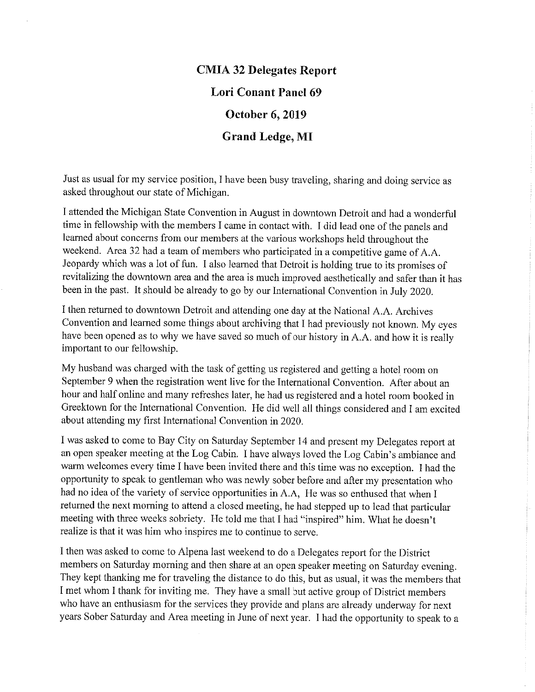# **CMIA 32 Delegates Report Lori Conant Panel 69** October 6, 2019 **Grand Ledge, MI**

Just as usual for my service position, I have been busy traveling, sharing and doing service as asked throughout our state of Michigan.

I attended the Michigan State Convention in August in downtown Detroit and had a wonderful time in fellowship with the members I came in contact with. I did lead one of the panels and learned about concerns from our members at the various workshops held throughout the weekend. Area 32 had a team of members who participated in a competitive game of A.A. Jeopardy which was a lot of fun. I also learned that Detroit is holding true to its promises of revitalizing the downtown area and the area is much improved aesthetically and safer than it has been in the past. It should be already to go by our International Convention in July 2020.

I then returned to downtown Detroit and attending one day at the National A.A. Archives Convention and learned some things about archiving that I had previously not known. My eyes have been opened as to why we have saved so much of our history in A.A. and how it is really important to our fellowship.

My husband was charged with the task of getting us registered and getting a hotel room on September 9 when the registration went live for the International Convention. After about an hour and half online and many refreshes later, he had us registered and a hotel room booked in Greektown for the International Convention. He did well all things considered and I am excited about attending my first International Convention in 2020.

I was asked to come to Bay City on Saturday September 14 and present my Delegates report at an open speaker meeting at the Log Cabin. I have always loved the Log Cabin's ambiance and warm welcomes every time I have been invited there and this time was no exception. I had the opportunity to speak to gentleman who was newly sober before and after my presentation who had no idea of the variety of service opportunities in A.A, He was so enthused that when I returned the next morning to attend a closed meeting, he had stepped up to lead that particular meeting with three weeks sobriety. He told me that I had "inspired" him. What he doesn't realize is that it was him who inspires me to continue to serve.

I then was asked to come to Alpena last weekend to do a Delegates report for the District members on Saturday morning and then share at an open speaker meeting on Saturday evening. They kept thanking me for traveling the distance to do this, but as usual, it was the members that I met whom I thank for inviting me. They have a small but active group of District members who have an enthusiasm for the services they provide and plans are already underway for next years Sober Saturday and Area meeting in June of next year. I had the opportunity to speak to a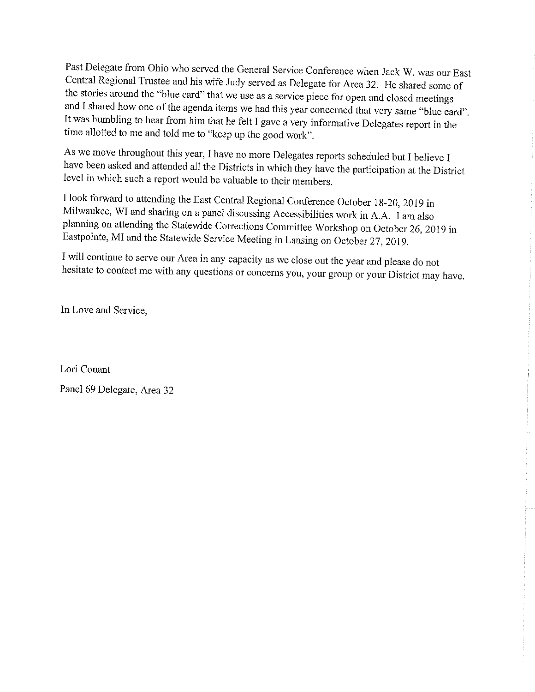Past Delegate from Ohio who served the General Service Conference when Jack W. was our East Central Regional Trustee and his wife Judy served as Delegate for Area 32. He shared some of the stories around the "blue card" that we use as a service piece for open and closed meetings and I shared how one of the agenda items we had this year concerned that very same "blue card". It was humbling to hear from him that he felt I gave a very informative Delegates report in the time allotted to me and told me to "keep up the good work".

As we move throughout this year, I have no more Delegates reports scheduled but I believe I have been asked and attended all the Districts in which they have the participation at the District level in which such a report would be valuable to their members.

I look forward to attending the East Central Regional Conference October 18-20, 2019 in Milwaukee, WI and sharing on a panel discussing Accessibilities work in A.A. I am also planning on attending the Statewide Corrections Committee Workshop on October 26, 2019 in Eastpointe, MI and the Statewide Service Meeting in Lansing on October 27, 2019.

I will continue to serve our Area in any capacity as we close out the year and please do not hesitate to contact me with any questions or concerns you, your group or your District may have.

In Love and Service,

Lori Conant Panel 69 Delegate, Area 32